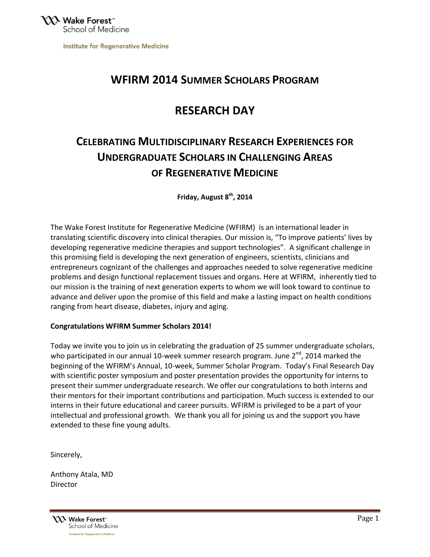**Institute for Regenerative Medicine** 

## **WFIRM 2014 SUMMER SCHOLARS PROGRAM**

## **RESEARCH DAY**

# **CELEBRATING MULTIDISCIPLINARY RESEARCH EXPERIENCES FOR UNDERGRADUATE SCHOLARS IN CHALLENGING AREAS OF REGENERATIVE MEDICINE**

**Friday, August 8th, 2014**

The Wake Forest Institute for Regenerative Medicine (WFIRM) is an international leader in translating scientific discovery into clinical therapies. Our mission is, "To improve patients' lives by developing regenerative medicine therapies and support technologies". A significant challenge in this promising field is developing the next generation of engineers, scientists, clinicians and entrepreneurs cognizant of the challenges and approaches needed to solve regenerative medicine problems and design functional replacement tissues and organs. Here at WFIRM, inherently tied to our mission is the training of next generation experts to whom we will look toward to continue to advance and deliver upon the promise of this field and make a lasting impact on health conditions ranging from heart disease, diabetes, injury and aging.

### **Congratulations WFIRM Summer Scholars 2014!**

Today we invite you to join us in celebrating the graduation of 25 summer undergraduate scholars, who participated in our annual 10-week summer research program. June  $2^{nd}$ , 2014 marked the beginning of the WFIRM's Annual, 10-week, Summer Scholar Program. Today's Final Research Day with scientific poster symposium and poster presentation provides the opportunity for interns to present their summer undergraduate research. We offer our congratulations to both interns and their mentors for their important contributions and participation. Much success is extended to our interns in their future educational and career pursuits. WFIRM is privileged to be a part of your intellectual and professional growth. We thank you all for joining us and the support you have extended to these fine young adults.

Sincerely,

Anthony Atala, MD **Director** 

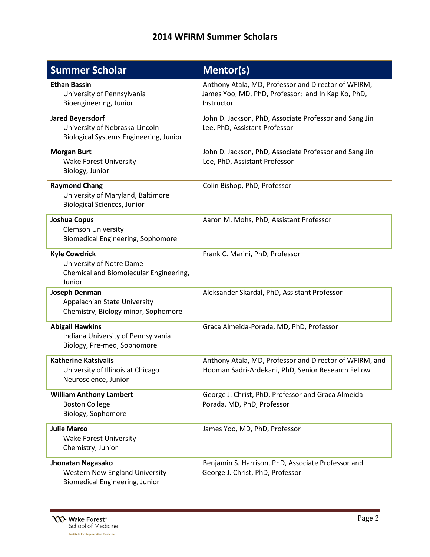# **2014 WFIRM Summer Scholars**

| <b>Summer Scholar</b>                                                                                      | <b>Mentor(s)</b>                                                                                                        |
|------------------------------------------------------------------------------------------------------------|-------------------------------------------------------------------------------------------------------------------------|
| <b>Ethan Bassin</b><br>University of Pennsylvania<br>Bioengineering, Junior                                | Anthony Atala, MD, Professor and Director of WFIRM,<br>James Yoo, MD, PhD, Professor; and In Kap Ko, PhD,<br>Instructor |
| <b>Jared Beyersdorf</b><br>University of Nebraska-Lincoln<br><b>Biological Systems Engineering, Junior</b> | John D. Jackson, PhD, Associate Professor and Sang Jin<br>Lee, PhD, Assistant Professor                                 |
| <b>Morgan Burt</b><br><b>Wake Forest University</b><br>Biology, Junior                                     | John D. Jackson, PhD, Associate Professor and Sang Jin<br>Lee, PhD, Assistant Professor                                 |
| <b>Raymond Chang</b><br>University of Maryland, Baltimore<br><b>Biological Sciences, Junior</b>            | Colin Bishop, PhD, Professor                                                                                            |
| <b>Joshua Copus</b><br><b>Clemson University</b><br>Biomedical Engineering, Sophomore                      | Aaron M. Mohs, PhD, Assistant Professor                                                                                 |
| <b>Kyle Cowdrick</b><br>University of Notre Dame<br>Chemical and Biomolecular Engineering,<br>Junior       | Frank C. Marini, PhD, Professor                                                                                         |
| Joseph Denman<br>Appalachian State University<br>Chemistry, Biology minor, Sophomore                       | Aleksander Skardal, PhD, Assistant Professor                                                                            |
| <b>Abigail Hawkins</b><br>Indiana University of Pennsylvania<br>Biology, Pre-med, Sophomore                | Graca Almeida-Porada, MD, PhD, Professor                                                                                |
| <b>Katherine Katsivalis</b><br>University of Illinois at Chicago<br>Neuroscience, Junior                   | Anthony Atala, MD, Professor and Director of WFIRM, and<br>Hooman Sadri-Ardekani, PhD, Senior Research Fellow           |
| <b>William Anthony Lambert</b><br><b>Boston College</b><br>Biology, Sophomore                              | George J. Christ, PhD, Professor and Graca Almeida-<br>Porada, MD, PhD, Professor                                       |
| <b>Julie Marco</b><br><b>Wake Forest University</b><br>Chemistry, Junior                                   | James Yoo, MD, PhD, Professor                                                                                           |
| Jhonatan Nagasako<br><b>Western New England University</b><br>Biomedical Engineering, Junior               | Benjamin S. Harrison, PhD, Associate Professor and<br>George J. Christ, PhD, Professor                                  |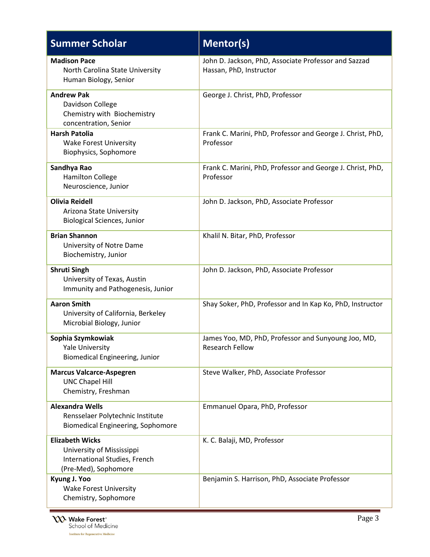| <b>Summer Scholar</b>                                                                                        | <b>Mentor(s)</b>                                                                |
|--------------------------------------------------------------------------------------------------------------|---------------------------------------------------------------------------------|
| <b>Madison Pace</b><br>North Carolina State University<br>Human Biology, Senior                              | John D. Jackson, PhD, Associate Professor and Sazzad<br>Hassan, PhD, Instructor |
| <b>Andrew Pak</b><br>Davidson College<br>Chemistry with Biochemistry<br>concentration, Senior                | George J. Christ, PhD, Professor                                                |
| <b>Harsh Patolia</b><br><b>Wake Forest University</b><br>Biophysics, Sophomore                               | Frank C. Marini, PhD, Professor and George J. Christ, PhD,<br>Professor         |
| Sandhya Rao<br><b>Hamilton College</b><br>Neuroscience, Junior                                               | Frank C. Marini, PhD, Professor and George J. Christ, PhD,<br>Professor         |
| <b>Olivia Reidell</b><br>Arizona State University<br><b>Biological Sciences, Junior</b>                      | John D. Jackson, PhD, Associate Professor                                       |
| <b>Brian Shannon</b><br>University of Notre Dame<br>Biochemistry, Junior                                     | Khalil N. Bitar, PhD, Professor                                                 |
| <b>Shruti Singh</b><br>University of Texas, Austin<br>Immunity and Pathogenesis, Junior                      | John D. Jackson, PhD, Associate Professor                                       |
| <b>Aaron Smith</b><br>University of California, Berkeley<br>Microbial Biology, Junior                        | Shay Soker, PhD, Professor and In Kap Ko, PhD, Instructor                       |
| Sophia Szymkowiak<br><b>Yale University</b><br><b>Biomedical Engineering, Junior</b>                         | James Yoo, MD, PhD, Professor and Sunyoung Joo, MD,<br>Research Fellow          |
| <b>Marcus Valcarce-Aspegren</b><br><b>UNC Chapel Hill</b><br>Chemistry, Freshman                             | Steve Walker, PhD, Associate Professor                                          |
| <b>Alexandra Wells</b><br>Rensselaer Polytechnic Institute<br>Biomedical Engineering, Sophomore              | Emmanuel Opara, PhD, Professor                                                  |
| <b>Elizabeth Wicks</b><br>University of Mississippi<br>International Studies, French<br>(Pre-Med), Sophomore | K. C. Balaji, MD, Professor                                                     |
| Kyung J. Yoo<br><b>Wake Forest University</b><br>Chemistry, Sophomore                                        | Benjamin S. Harrison, PhD, Associate Professor                                  |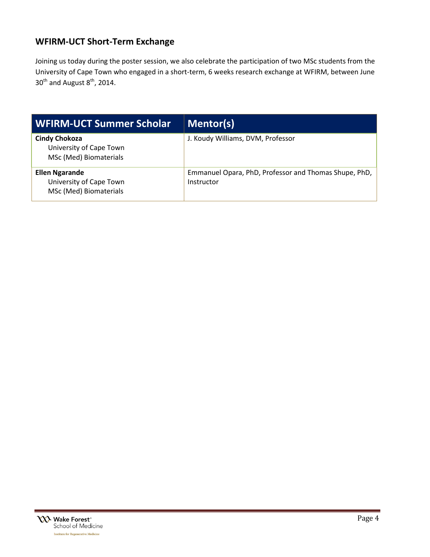### **WFIRM-UCT Short-Term Exchange**

Joining us today during the poster session, we also celebrate the participation of two MSc students from the University of Cape Town who engaged in a short-term, 6 weeks research exchange at WFIRM, between June  $30<sup>th</sup>$  and August  $8<sup>th</sup>$ , 2014.

| WFIRM-UCT Summer Scholar                                                   | Mentor(s)                                                           |
|----------------------------------------------------------------------------|---------------------------------------------------------------------|
| <b>Cindy Chokoza</b><br>University of Cape Town<br>MSc (Med) Biomaterials  | J. Koudy Williams, DVM, Professor                                   |
| <b>Ellen Ngarande</b><br>University of Cape Town<br>MSc (Med) Biomaterials | Emmanuel Opara, PhD, Professor and Thomas Shupe, PhD,<br>Instructor |

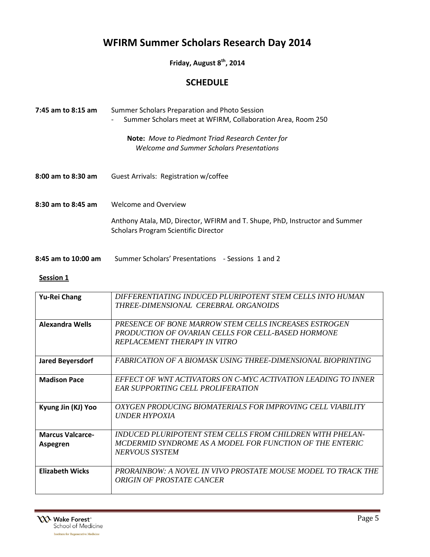# **WFIRM Summer Scholars Research Day 2014**

**Friday, August 8th, 2014**

### **SCHEDULE**

| 7:45 am to 8:15 am  | Summer Scholars Preparation and Photo Session<br>Summer Scholars meet at WFIRM, Collaboration Area, Room 250<br>$\qquad \qquad -$                  |
|---------------------|----------------------------------------------------------------------------------------------------------------------------------------------------|
|                     | <b>Note:</b> Move to Piedmont Triad Research Center for<br>Welcome and Summer Scholars Presentations                                               |
| 8:00 am to 8:30 am  | Guest Arrivals: Registration w/coffee                                                                                                              |
| 8:30 am to 8:45 am  | Welcome and Overview<br>Anthony Atala, MD, Director, WFIRM and T. Shupe, PhD, Instructor and Summer<br><b>Scholars Program Scientific Director</b> |
| 8:45 am to 10:00 am | Summer Scholars' Presentations - Sessions 1 and 2                                                                                                  |

#### **Session 1**

| <b>Yu-Rei Chang</b>                 | DIFFERENTIATING INDUCED PLURIPOTENT STEM CELLS INTO HUMAN<br>THREE-DIMENSIONAL CEREBRAL ORGANOIDS                                                  |
|-------------------------------------|----------------------------------------------------------------------------------------------------------------------------------------------------|
| <b>Alexandra Wells</b>              | PRESENCE OF BONE MARROW STEM CELLS INCREASES ESTROGEN<br>PRODUCTION OF OVARIAN CELLS FOR CELL-BASED HORMONE<br><b>REPLACEMENT THERAPY IN VITRO</b> |
| <b>Jared Beyersdorf</b>             | FABRICATION OF A BIOMASK USING THREE-DIMENSIONAL BIOPRINTING                                                                                       |
| <b>Madison Pace</b>                 | EFFECT OF WNT ACTIVATORS ON C-MYC ACTIVATION LEADING TO INNER<br><b>EAR SUPPORTING CELL PROLIFERATION</b>                                          |
| Kyung Jin (KJ) Yoo                  | OXYGEN PRODUCING BIOMATERIALS FOR IMPROVING CELL VIABILITY<br>UNDER HYPOXIA                                                                        |
| <b>Marcus Valcarce-</b><br>Aspegren | INDUCED PLURIPOTENT STEM CELLS FROM CHILDREN WITH PHELAN-<br>MCDERMID SYNDROME AS A MODEL FOR FUNCTION OF THE ENTERIC<br>NERVOUS SYSTEM            |
| <b>Elizabeth Wicks</b>              | PRORAINBOW: A NOVEL IN VIVO PROSTATE MOUSE MODEL TO TRACK THE<br>ORIGIN OF PROSTATE CANCER                                                         |

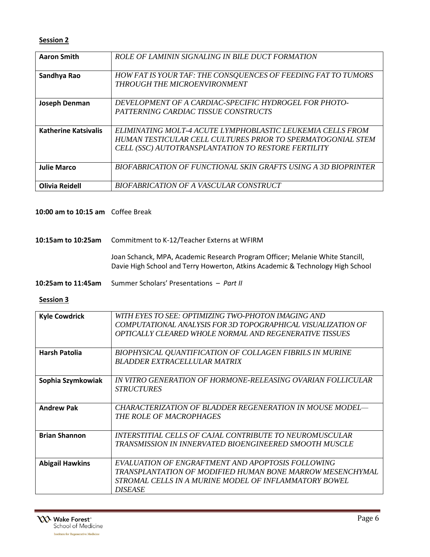### **Session 2**

| <b>Aaron Smith</b>          | ROLE OF LAMININ SIGNALING IN BILE DUCT FORMATION                                                                                                                                 |
|-----------------------------|----------------------------------------------------------------------------------------------------------------------------------------------------------------------------------|
| Sandhya Rao                 | <b>HOW FAT IS YOUR TAF: THE CONSQUENCES OF FEEDING FAT TO TUMORS</b><br>THROUGH THE MICROENVIRONMENT                                                                             |
| Joseph Denman               | DEVELOPMENT OF A CARDIAC-SPECIFIC HYDROGEL FOR PHOTO-<br>PATTERNING CARDIAC TISSUE CONSTRUCTS                                                                                    |
| <b>Katherine Katsivalis</b> | ELIMINATING MOLT-4 ACUTE LYMPHOBLASTIC LEUKEMIA CELLS FROM<br>HUMAN TESTICULAR CELL CULTURES PRIOR TO SPERMATOGONIAL STEM<br>CELL (SSC) AUTOTRANSPLANTATION TO RESTORE FERTILITY |
| <b>Julie Marco</b>          | BIOFABRICATION OF FUNCTIONAL SKIN GRAFTS USING A 3D BIOPRINTER                                                                                                                   |
| <b>Olivia Reidell</b>       | BIOFABRICATION OF A VASCULAR CONSTRUCT                                                                                                                                           |

#### **10:00 am to 10:15 am** Coffee Break

### **10:15am to 10:25am** Commitment to K-12/Teacher Externs at WFIRM

Joan Schanck, MPA, Academic Research Program Officer; Melanie White Stancill, Davie High School and Terry Howerton, Atkins Academic & Technology High School

**10:25am to 11:45am** Summer Scholars' Presentations – *Part II*

### **Session 3**

| <b>Kyle Cowdrick</b>   | WITH EYES TO SEE: OPTIMIZING TWO-PHOTON IMAGING AND          |
|------------------------|--------------------------------------------------------------|
|                        | COMPUTATIONAL ANALYSIS FOR 3D TOPOGRAPHICAL VISUALIZATION OF |
|                        | OPTICALLY CLEARED WHOLE NORMAL AND REGENERATIVE TISSUES      |
|                        |                                                              |
| <b>Harsh Patolia</b>   | BIOPHYSICAL QUANTIFICATION OF COLLAGEN FIBRILS IN MURINE     |
|                        | BLADDER EXTRACELLULAR MATRIX                                 |
|                        |                                                              |
| Sophia Szymkowiak      | IN VITRO GENERATION OF HORMONE-RELEASING OVARIAN FOLLICULAR  |
|                        | <b>STRUCTURES</b>                                            |
|                        |                                                              |
| <b>Andrew Pak</b>      | CHARACTERIZATION OF BLADDER REGENERATION IN MOUSE MODEL—     |
|                        | THE ROLE OF MACROPHAGES                                      |
|                        |                                                              |
| <b>Brian Shannon</b>   | INTERSTITIAL CELLS OF CAJAL CONTRIBUTE TO NEUROMUSCULAR      |
|                        | TRANSMISSION IN INNERVATED BIOENGINEERED SMOOTH MUSCLE       |
|                        |                                                              |
| <b>Abigail Hawkins</b> | EVALUATION OF ENGRAFTMENT AND APOPTOSIS FOLLOWING            |
|                        | TRANSPLANTATION OF MODIFIED HUMAN BONE MARROW MESENCHYMAL    |
|                        | STROMAL CELLS IN A MURINE MODEL OF INFLAMMATORY BOWEL        |
|                        | <b>DISEASE</b>                                               |
|                        |                                                              |